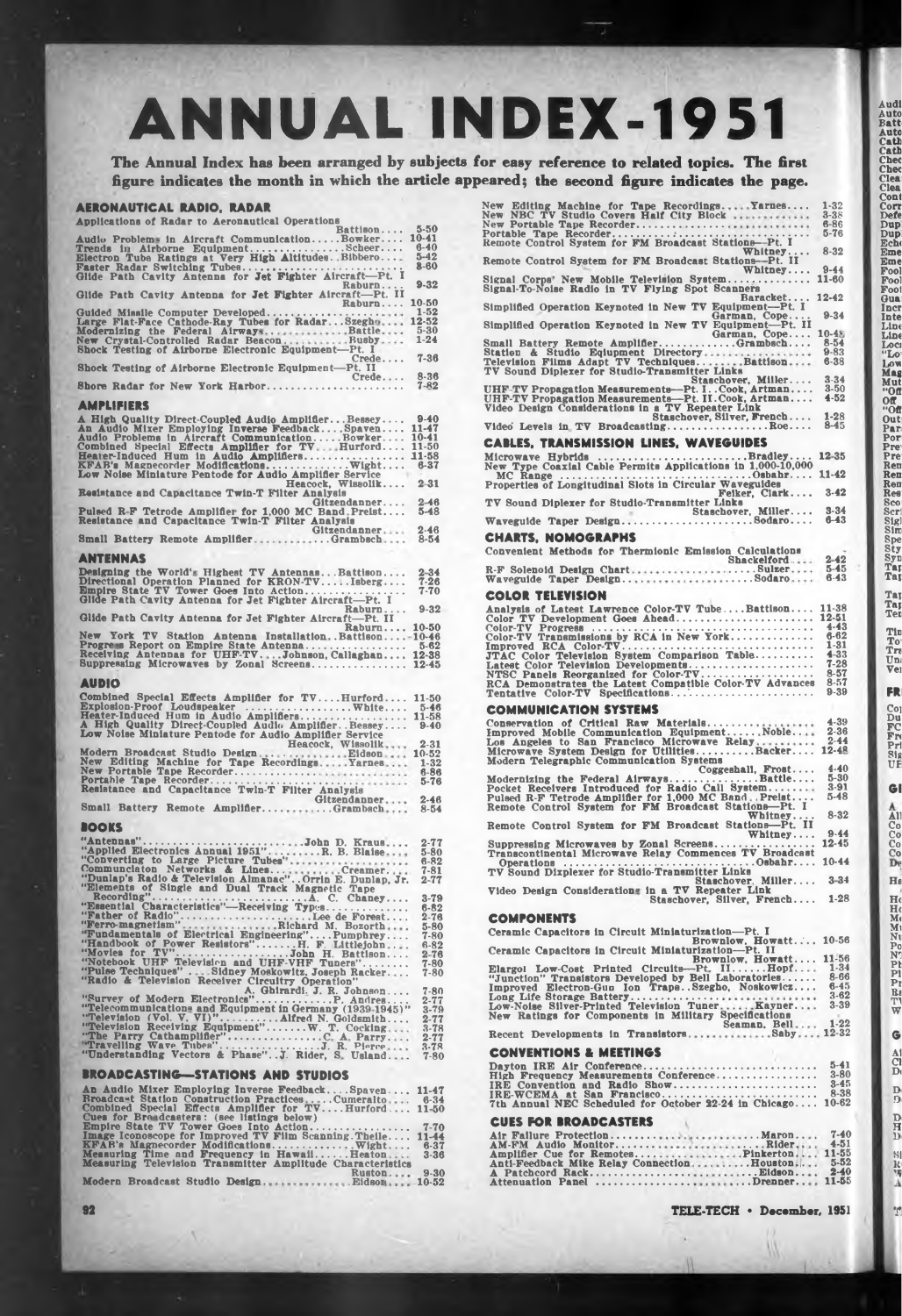# **ANNUAL INDEX-1951**

**The Annual Index has been arranged by subjects for easy reference to related topics. The first figure indicates the month in which the article appeared; the second figure indicates the page.**

## **AERONAUTICAL RADIO. RADAR**

| Applications of Radar to Aeronautical Operations                                                                                                                                                                |                                                           |
|-----------------------------------------------------------------------------------------------------------------------------------------------------------------------------------------------------------------|-----------------------------------------------------------|
| Battison<br>Audio Problems in Aircraft CommunicationBowker<br>Trends in Airborne EquipmentScheer<br>Electron Tube Ratings at Very High Altitudes. Bibbero                                                       | $5 - 50$<br>$10 - 41$<br>$6 - 40$<br>$5 - 42$<br>$8 - 60$ |
| Raburn                                                                                                                                                                                                          | $9 - 32$                                                  |
| Glide Path Cavity Antenna for Jet Fighter Aircraft-Pt. II<br>Raburn                                                                                                                                             | 10-50                                                     |
| Shock Testing of Airborne Electronic Equipment-Pt. I                                                                                                                                                            | $1 - 52$<br>12-52<br>$\frac{5.30}{1.24}$                  |
| Crede<br>Shock Testing of Airborne Electronic Equipment-Pt. II                                                                                                                                                  | $7 - 36$                                                  |
| Crede $8-36$<br>7-82<br>Shore Radar for New York Harbor                                                                                                                                                         |                                                           |
| AMPLIFIERS                                                                                                                                                                                                      |                                                           |
| A High Quality Direct-Coupled Audio AmplifierBessey 9-40<br>An Audio Mixer Employing Inverse FeedbackSpaven 11-47<br>Audio Froblems in Aircraft CommunicationBowNer 10-41<br>Combined Special Effects Amplifier |                                                           |
| Resistance and Capacitance Twin-T Filter Analysis                                                                                                                                                               |                                                           |
| Pulsed R-F Tetrode Amplifier for 1,000 MC Band Preist<br>Resistance and Capacitance Twin-T Filter Analysis<br>South Death Preist                                                                                | $2 - 46$<br>$5 - 48$                                      |
| Small Battery Remote AmplifierGrambsch                                                                                                                                                                          | $2 - 46$<br>$8 - 54$                                      |
| ANTENNAS                                                                                                                                                                                                        |                                                           |
| Designing the World's Highest TV AntennasBattison<br>Directional Operation Planned for KRON-TVIsberg                                                                                                            | $2 - 34$<br>$7 - 26$<br>$7 - 70$                          |
| Raburn<br>Glide Path Cavity Antenna for Jet Fighter Aircraft-Pt. II                                                                                                                                             | $9 - 32$                                                  |
| Raburn 10-50<br>New York TV Station Antenna InstallationBattison-10-46                                                                                                                                          |                                                           |
| Progress Report on Empire State Antenna 5-62<br>Receiving Antennas for UHF-TVJohnson, Callaghan 12-38<br>Suppressing Microwaves by Zonal Screens                                                                | $12 - 45$                                                 |
| <b>AUDIO</b>                                                                                                                                                                                                    |                                                           |
| Combined Special Effects Amplifier for TVHurford                                                                                                                                                                | 11-50<br>$5 - 46$<br>11-58<br>$9 - 40$                    |
| Heacock, Wissolik<br>Modern Broadcast Studio DesignEidson 10-52<br>New Editing Machine for Tape RecordingsYarnes 1-32                                                                                           | $2 - 31$<br>$6 - 86$                                      |
|                                                                                                                                                                                                                 | $5 - 76$                                                  |
| Small Battery Remote AmplifierGrambsch                                                                                                                                                                          | $2 - 46$<br>$8 - 54$                                      |
| LOOKS                                                                                                                                                                                                           |                                                           |
| $\cdots$                                                                                                                                                                                                        | $2 - 77$<br>$5 - 80$<br>$6 - 82$<br>$7 - 81$<br>$2 - 77$  |
| Recording"<br>C. Chaney                                                                                                                                                                                         |                                                           |
|                                                                                                                                                                                                                 |                                                           |
|                                                                                                                                                                                                                 |                                                           |
|                                                                                                                                                                                                                 |                                                           |
|                                                                                                                                                                                                                 |                                                           |
|                                                                                                                                                                                                                 |                                                           |
|                                                                                                                                                                                                                 |                                                           |
|                                                                                                                                                                                                                 |                                                           |
| <b>BROADCASTING-STATIONS AND STUDIOS</b>                                                                                                                                                                        |                                                           |
|                                                                                                                                                                                                                 |                                                           |
| An Audio Mixer Employing Inverse FeedbackSpaven 11-47<br>Rroadcast Station Construction PracticesCumeralto 6-34<br>Combined Special Effects Amplifier for TVHurford 11-50<br>Eues for Broadcasters: (see lis    |                                                           |
|                                                                                                                                                                                                                 |                                                           |
|                                                                                                                                                                                                                 |                                                           |

**Modern Broadcast Studio Design Ruston . Eldsoi**

**9-30 10-52**

| eared; the second figure indicates the page.                                                                                                                                                                                 |  |
|------------------------------------------------------------------------------------------------------------------------------------------------------------------------------------------------------------------------------|--|
| New Editing Machine for Tape Recordings Yarnes<br>New NBC TV Studio Covers Half City Block<br>$1 - 32$<br>$3 - 38$<br>$6 - 86$<br>$5 - 76$                                                                                   |  |
| Whitney $8-32$<br>Remote Control System for FM Broadcast Stations--Pt. II<br>Whitney<br>$9 - 44$                                                                                                                             |  |
| Signal Corps' New Mobile Television System 11-60<br>Signal-To-Noise Radio in TV Flying Spot Scanners<br>Baracket 12-42                                                                                                       |  |
| Simplified Operation Keynoted in New TV Equipment-Pt. I<br>$9 - 34$<br>Garman, Cope<br>Simplified Operation Keynoted in New TV Equipment-Pt. II                                                                              |  |
| Garman, Cope<br>$10-48$<br>$8 - 54$<br>$9 - 83$<br>$6 - 38$                                                                                                                                                                  |  |
| $3 - 34$<br>Staschover, Miller<br>UHF-TV Propagation Measurements—Pt. I. . Cook, Artman<br>UHF-TV Propagation Measurements—Pt. II. Cook, Artman<br>Video Design Considerations in a TV Repeater Link<br>$3 - 50$<br>$4 - 52$ |  |
| $1 - 28$<br>Staschover, Silver, French<br>Video Levels in TV BroadcastingRoe<br>$8 - 45$                                                                                                                                     |  |
| <b>CABLES. TRANSMISSION LINES. WAVEGUIDES</b>                                                                                                                                                                                |  |
| 12-35<br>Microwave Hybrids Bradley<br>New Type Coaxial Cable Permits Applications in 1,000-10,000                                                                                                                            |  |
| $3 - 42$                                                                                                                                                                                                                     |  |
| TV Sound Diplexer for Studio-Transmitter Links                                                                                                                                                                               |  |
| <b>CHARTS, NOMOGRAPHS</b>                                                                                                                                                                                                    |  |
| Convenient Methods for Thermionic Emission Calculations                                                                                                                                                                      |  |
|                                                                                                                                                                                                                              |  |
| <b>COLOR TELEVISION</b>                                                                                                                                                                                                      |  |
| COMMUNICATION SYSTEMS                                                                                                                                                                                                        |  |
| Modern Telegraphic Communication Systems                                                                                                                                                                                     |  |
|                                                                                                                                                                                                                              |  |
| $8 - 32$<br>Whitney<br>Remote Control System for FM Broadcast Stations-Pt. II<br>9.44<br>Whitney                                                                                                                             |  |
|                                                                                                                                                                                                                              |  |
| TV Sound Dixplexer for Studio-Transmitter Links<br>Staschover, Miller 3-34                                                                                                                                                   |  |
| Video Design Considerations in a TV Repeater Link<br>Staschover, Silver, French 1-28                                                                                                                                         |  |
| <b>COMPONENTS</b>                                                                                                                                                                                                            |  |
| Ceramic Capacitors in Circuit Miniaturization----Pt. I<br>Brownlow. Howatt 10-56                                                                                                                                             |  |
| Ceramic Capacitors in Circuit Miniaturization-Pt. II                                                                                                                                                                         |  |
| Ceramic Capacitors in Circuit Miniaturization——Pt. 11.56<br>Elargol Low-Cost Printed Circuits——Pt. 11Hopf 11-56<br>"Junction" Transistors Developed by Bell Laboratories 8-66<br>Improved Electron-Gun Ion TrapsSzeg         |  |
|                                                                                                                                                                                                                              |  |
| <b>CONVENTIONS &amp; MEETINGS</b>                                                                                                                                                                                            |  |
| <b>CUES FOR BROADCASTERS</b><br>$2 - 40$<br>Attenuation Panel Drenner 11-55                                                                                                                                                  |  |

**AutoCatherical Control Duplication of the Second Property of the Second Property of the Second Property Property Property Property Property Property Property Property Property Property Property Property Property Property** 

**Taj Tai Ter**

**Tin To<sup>1</sup> Tr» Um Vei**

**FRI**

**Coi Du FC Frt Pri Sig UE**

**Gl**

**All Co Co Co Co**

**Ha**

**Heat**<br> **Heat**<br> **NE**<br> **Pr**<br> **PP**<br> **PPPPP** 

**G Al Cl D<**

**D< D**

**Di H Di**

**81 R 'V**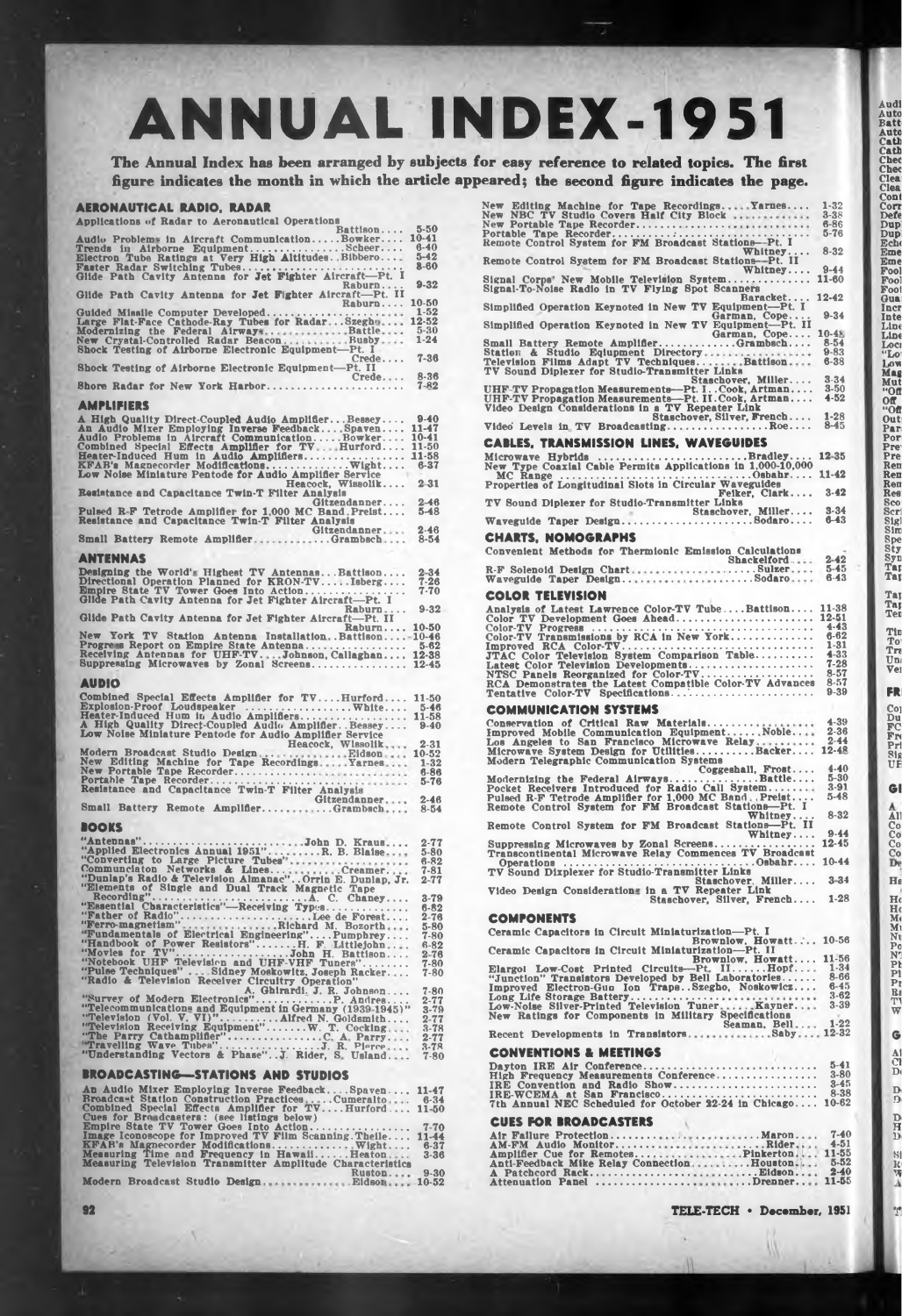# **ANNUAL INDEX-1951**

**The Annual Index has been arranged by subjects for easy reference to related topics. The first figure indicates the month in which the article appeared; the second figure indicates the page.**

## **AERONAUTICAL RADIO. RADAR**

| Applications of Radar to Aeronautical Operations                                                                                                                                                                |                                                           |
|-----------------------------------------------------------------------------------------------------------------------------------------------------------------------------------------------------------------|-----------------------------------------------------------|
| Battison<br>Audio Problems in Aircraft CommunicationBowker                                                                                                                                                      | $5 - 50$<br>$10 - 41$<br>$6 - 40$<br>$5 - 42$<br>$8 - 60$ |
| Raburn ii<br>Glide Path Cavity Antenna for Jet Fighter Aircraft-Pt. II                                                                                                                                          | $9 - 32$                                                  |
| Raburn                                                                                                                                                                                                          | 10-50<br>$1 - 52$                                         |
| Shock Testing of Airborne Electronic Equipment-Pt. I                                                                                                                                                            | 12-52<br>$5 - 30$<br>$1 - 24$                             |
| Crede<br>Shock Testing of Airborne Electronic Equipment-Pt. II                                                                                                                                                  | $7 - 36$                                                  |
| Crede $8-36$<br>$7-82$<br>Shore Radar for New York Harbor<br>.                                                                                                                                                  | $7 - 82$                                                  |
| AMPLIFIERS                                                                                                                                                                                                      |                                                           |
| A High Quality Direct-Coupled Audio Amplifier Bessey 9-40<br>And Audio Mixer Employing Inverse Feedback Spaven 10-41<br>Audio Problems in Aircraft Communication Bowker 10-41<br>Combined Special Effects Ampli |                                                           |
| Heacock, Wissolik<br>Resistance and Capacitance Twin-T Filter Analysis                                                                                                                                          | $2 - 31$                                                  |
| Pulsed R-F Tetrode Amplifier for 1,000 MC Band Preist<br>Resistance and Capacitance Twin-T Filter Analysis<br>Small David Discover and Capacitance Twin-T Filter Analysis                                       | $2 - 46$<br>$5 - 48$                                      |
| Small Battery Remote AmplifierGitzendanner                                                                                                                                                                      | $2 - 46$<br>$8 - 54$                                      |
| ANTENNAS                                                                                                                                                                                                        |                                                           |
| Designing the World's Highest TV AntennasBattison<br>Directional Operation Planned for KRON-TVIsberg                                                                                                            | $2 - 34$<br>7-26<br>$7 - 70$                              |
| Raburn<br>Glide Path Cavity Antenna for Jet Fighter Aircraft-Pt. II                                                                                                                                             | $9 - 32$                                                  |
| Raburn 10-50<br>New York TV Station Antenna InstallationBattison-10-46                                                                                                                                          |                                                           |
| Suppressing Microwaves by Zonal Screens                                                                                                                                                                         | $5 - 62$<br>12-38<br>$12 - 45$                            |
| <b>AUDIO</b>                                                                                                                                                                                                    |                                                           |
| Combined Special Effects Amplifier for TVHurford                                                                                                                                                                | 11-50<br>$5 - 46$<br>11-58<br>$9-40$                      |
| Heacock, Wissolik                                                                                                                                                                                               | $2 - 31$                                                  |
|                                                                                                                                                                                                                 |                                                           |
| Small Battery Remote AmplifierGrambsch                                                                                                                                                                          | $8 - 54$                                                  |
| LIOOKS                                                                                                                                                                                                          |                                                           |
|                                                                                                                                                                                                                 | $2 - 77$<br>$5 - 80$<br>$6 - 82$<br>7-81<br>$2 - 77$      |
|                                                                                                                                                                                                                 |                                                           |
|                                                                                                                                                                                                                 |                                                           |
|                                                                                                                                                                                                                 |                                                           |
|                                                                                                                                                                                                                 |                                                           |
|                                                                                                                                                                                                                 |                                                           |
|                                                                                                                                                                                                                 |                                                           |
|                                                                                                                                                                                                                 |                                                           |
|                                                                                                                                                                                                                 |                                                           |
| <b>BROADCASTING—STATIONS AND STUDIOS</b>                                                                                                                                                                        |                                                           |
|                                                                                                                                                                                                                 |                                                           |
|                                                                                                                                                                                                                 |                                                           |
|                                                                                                                                                                                                                 |                                                           |
|                                                                                                                                                                                                                 |                                                           |

| or easy reference to related topics. The first                                                                                                                                                                                                                                           |                                                   |
|------------------------------------------------------------------------------------------------------------------------------------------------------------------------------------------------------------------------------------------------------------------------------------------|---------------------------------------------------|
| eared; the second figure indicates the page.                                                                                                                                                                                                                                             |                                                   |
|                                                                                                                                                                                                                                                                                          | $1 - 32$<br>$3 - 38$<br>$6 - 86$<br>$\cdots$ 5-76 |
| Remote Control System for FM Broadcast Stations-Pt. II 8-32                                                                                                                                                                                                                              |                                                   |
| Whitney<br>Signal Corps New Mobile Television System<br>Signal-To-Noise Radio in TV Flying Spot Scanners                                                                                                                                                                                 | $9 - 44$<br>11-60                                 |
| Simplified Operation Keynoted in New TV Equipment-Pt. I                                                                                                                                                                                                                                  | 12-42                                             |
| Simplified Operation Keynoted in New TV Equipment-Pt. 11<br>Small Battery Remote Amplifiar Garman, Cope                                                                                                                                                                                  | $9 - 34$                                          |
|                                                                                                                                                                                                                                                                                          | $10 - 48$<br>$8 - 54$<br>$9 - 83$<br>$6 - 38$     |
| UHF-TV Propagation Measurements—Pt. I. Cook, Artman<br>UHF-TV Propagation Measurements—Pt. II. Cook, Artman<br>Video Design Considerations in a TV Repeater Link                                                                                                                         | $3 - 34$<br>$3 - 50$<br>$4 - 52$                  |
| Staschover, Silver, French                                                                                                                                                                                                                                                               | $1 - 28$                                          |
| Video Levels in TV BroadcastingRoe<br><b>CABLES, TRANSMISSION LINES, WAVEGUIDES</b>                                                                                                                                                                                                      | $8 - 45$                                          |
|                                                                                                                                                                                                                                                                                          |                                                   |
| Microwave Hybrids  Permits Applications in 1.000-10.000<br>MC Range  1946<br>MC Range  The Properties of Longitudinal Slots in Circular Waveguides<br>Properties of Longitudinal Slots in Circular Waveguides<br>The Reicher,                                                            |                                                   |
| TV Sound Diplexer for Studio-Transmitter Links                                                                                                                                                                                                                                           |                                                   |
|                                                                                                                                                                                                                                                                                          |                                                   |
| <b>Katalog</b><br><b>CHARTS, NOMOGRAPHS</b>                                                                                                                                                                                                                                              |                                                   |
| Convenient Methods for Thermionic Emission Calculations<br>Example of the contract contract contract contract contract contract contract contract contract contract contract contract contract contract contract contract contract contract contract contract contract contract contract |                                                   |
| <b>COLOR TELEVISION</b>                                                                                                                                                                                                                                                                  |                                                   |
| Analysis of Latest Lawrence Color-TV TubeBattison 11-38                                                                                                                                                                                                                                  |                                                   |
|                                                                                                                                                                                                                                                                                          | $\frac{6}{1-31}$                                  |
|                                                                                                                                                                                                                                                                                          |                                                   |
| COMMUNICATION SYSTEMS                                                                                                                                                                                                                                                                    |                                                   |
| Los Angeles to San Francisco Microwave Relay 2-44<br>Microwave System Design for UtilitiesBacker 12-48<br>Modern Telegraphic Communication Systems                                                                                                                                       | $4 - 39$<br>$2 - 36$                              |
|                                                                                                                                                                                                                                                                                          |                                                   |
| Whitney                                                                                                                                                                                                                                                                                  | $8 - 32$                                          |
| Remote Control System for FM Broadcast Stations-Pt. II<br>$\text{Whitney} \dots$                                                                                                                                                                                                         | $9 - 44$                                          |
|                                                                                                                                                                                                                                                                                          |                                                   |
|                                                                                                                                                                                                                                                                                          | $3 - 34$                                          |
| Video Design Consideration in a TV Repeater Link<br>Staschover, Miller<br>Staschover, Silver, French                                                                                                                                                                                     | $1-28$                                            |
| <b>COMPONENTS</b>                                                                                                                                                                                                                                                                        |                                                   |
| Ceramic Capacitors in Circuit Miniaturization-Pt. I<br>Brownlow, Howatt 10-56<br>Ceramic Capacitors in Circuit Miniaturization-Pt. II                                                                                                                                                    |                                                   |
|                                                                                                                                                                                                                                                                                          |                                                   |
|                                                                                                                                                                                                                                                                                          |                                                   |
| Elargol Low-Cost Printed Circuits—Pt. IIHopf 11-56<br>"Junction" Transistors Developed by Bell Laboratories 80pf 134<br>"Improved Electron-Gun Ion TrapsSzegho, Noskowicz 8-66<br>Long Life Storage Batter<br>New Ratings for Components in Military Specifications<br>Seaman, Bell 1-22 |                                                   |
|                                                                                                                                                                                                                                                                                          |                                                   |
| <b>CONVENTIONS &amp; MEETINGS</b>                                                                                                                                                                                                                                                        | $5-41$                                            |
|                                                                                                                                                                                                                                                                                          | $3 - 80$                                          |
|                                                                                                                                                                                                                                                                                          |                                                   |
| <b>CUES FOR BROADCASTERS</b>                                                                                                                                                                                                                                                             |                                                   |
|                                                                                                                                                                                                                                                                                          | $7 - 40$                                          |
|                                                                                                                                                                                                                                                                                          |                                                   |
|                                                                                                                                                                                                                                                                                          |                                                   |

**AutoCathecommunication of the Second AutoCathecommunication of the Second Property of the Second AutoCathecommunication of the Second AutoCathecommunication of the Second Property Property Second Second Second Second Seco** 

**Taj Taj Ter**

**Tin To<sup>1</sup> Tra Um Vei**

**FRI**

**Coi Du FC Frt Prl Sig UE**

**Gl**

**All Co Co Co Co**

**Ha**

**Heat**<br> **Heat**<br> **Notation**<br>
Praid

**G Al Cl D<**

**D< Di**

**Di H Di**

81 lt< W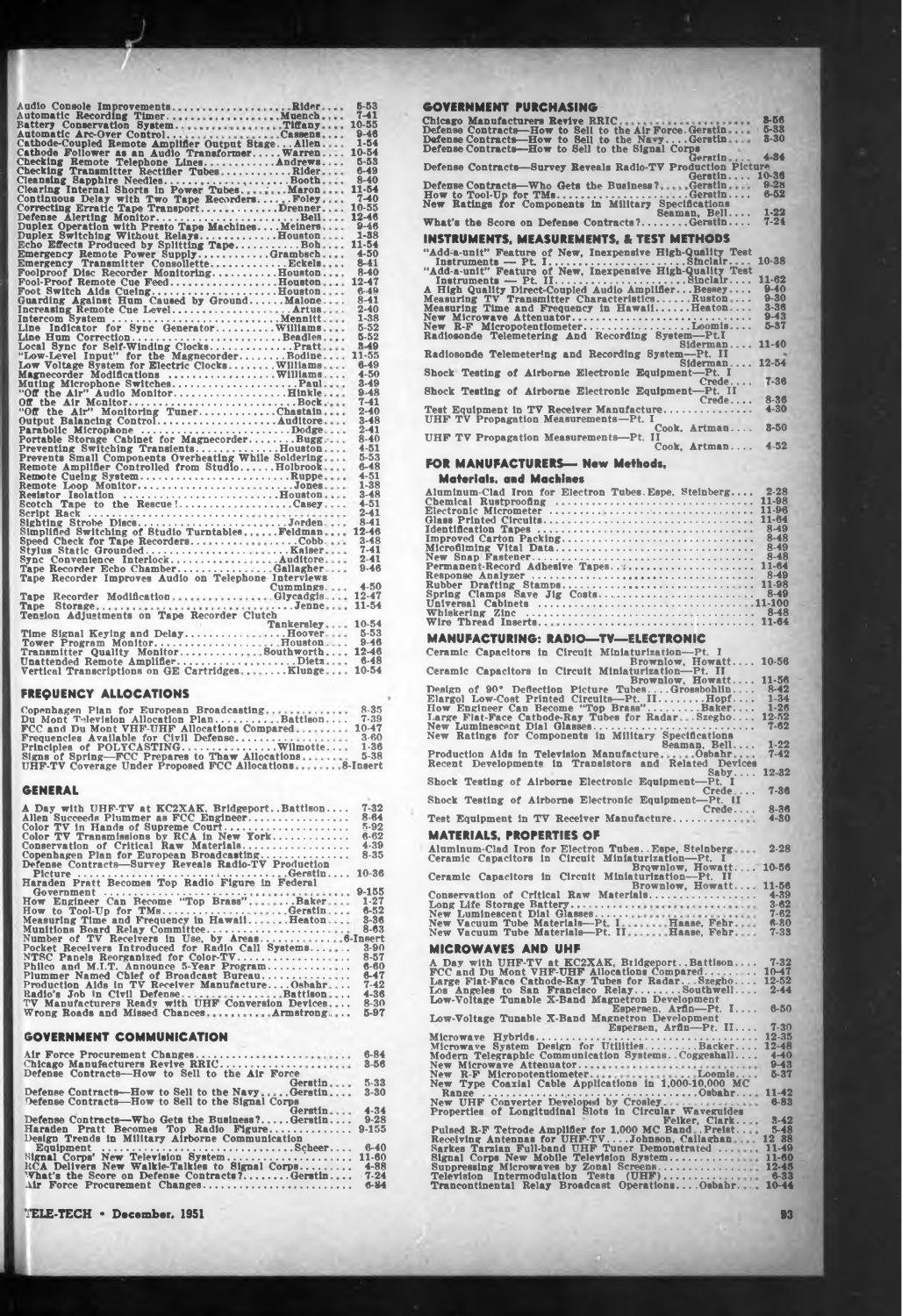|                                                                                               | $5 - 53$ |
|-----------------------------------------------------------------------------------------------|----------|
|                                                                                               |          |
|                                                                                               | $7 - 41$ |
|                                                                                               |          |
|                                                                                               |          |
|                                                                                               |          |
|                                                                                               | 10-54    |
| Cathode Follower as an Audio Transformer Warren<br>Checking Remote Telephone LinesAndrews     |          |
|                                                                                               | $5 - 53$ |
|                                                                                               |          |
|                                                                                               |          |
|                                                                                               |          |
|                                                                                               |          |
|                                                                                               |          |
|                                                                                               |          |
|                                                                                               |          |
|                                                                                               |          |
|                                                                                               | $1 - 88$ |
| Duplex Switching Without RelaysBouston                                                        |          |
|                                                                                               |          |
|                                                                                               |          |
|                                                                                               |          |
|                                                                                               |          |
|                                                                                               |          |
| Fool-Proof Remote Cue FeedHouston 12-47                                                       |          |
|                                                                                               |          |
| Foot Switch Alds CueingHouston 6-49<br>Guarding Against Hum Caused by GroundMalone 8-41       |          |
|                                                                                               | $2 - 40$ |
|                                                                                               |          |
|                                                                                               | $1 - 38$ |
|                                                                                               | $5 - 52$ |
|                                                                                               |          |
|                                                                                               |          |
|                                                                                               |          |
|                                                                                               |          |
| Low Voltage System for Electric Clocks Williams                                               | $6 - 49$ |
| Magnecorder Modifications  Williams                                                           | $4 - 50$ |
|                                                                                               | $3 - 49$ |
| Muting Microphone SwitchesPaul                                                                |          |
| "Off the Air" Audio MonitorHinkle                                                             | $9 - 48$ |
|                                                                                               | $7 - 41$ |
|                                                                                               | $2 - 40$ |
|                                                                                               | $3 - 48$ |
|                                                                                               |          |
| Parabolic Microphone Dodge<br>Portable Storage Cabinet for MagnecorderBugg                    | $2 - 41$ |
|                                                                                               | $8-40$   |
|                                                                                               | $4 - 51$ |
|                                                                                               | $5 - 53$ |
|                                                                                               | $6 - 48$ |
|                                                                                               |          |
| Remote Cueing SystemRuppe                                                                     | $4 - 51$ |
| Remote Loop MonitorJones                                                                      | 1-38     |
|                                                                                               | $3 - 48$ |
|                                                                                               | $4 - 51$ |
|                                                                                               |          |
|                                                                                               | $2 - 41$ |
|                                                                                               |          |
|                                                                                               |          |
| Speed Check for Tape RecordersCobb                                                            | $3 - 48$ |
|                                                                                               |          |
|                                                                                               | $7 - 41$ |
|                                                                                               | $2 - 41$ |
|                                                                                               | $9 - 46$ |
|                                                                                               |          |
|                                                                                               | 4-50     |
|                                                                                               |          |
| Tape Recorder ModificationGlycadgis 12-47                                                     |          |
|                                                                                               | 11-54    |
|                                                                                               |          |
| Tankersley 10-54                                                                              |          |
|                                                                                               |          |
|                                                                                               |          |
|                                                                                               |          |
|                                                                                               |          |
|                                                                                               |          |
| Unattended Remote AmplifierDietz 6-48<br>Vertical Transcriptions on GE CartridgesKlunge 10-54 |          |
|                                                                                               |          |
|                                                                                               |          |

#### **FREQUENCY ALLOCATIONS**

| Copenhagen Plan for European Broadcasting                     | $8 - 35$  |
|---------------------------------------------------------------|-----------|
| Du Mont Television Allocation PlanBattison                    | $7 - 39$  |
| FCC and Du Mont VHF-UHF Allocations Compared                  | $10 - 47$ |
| Frequencies Available for Civil Defense                       | $3 - 60$  |
|                                                               | $1 - 36$  |
| Signs of Spring- $\mathbb{F}$ CC Prepares to Thaw Allocations | $5 - 38$  |
| UHF-TV Coverage Under Proposed FCC Allocations8-Insert        |           |

| A Day with UHF-TV at KC2XAK, BridgeportBattison      | $7 - 32$  |
|------------------------------------------------------|-----------|
| Allen Succeeds Plummer as FCC Engineer               | $8 - 64$  |
| Color TV in Hands of Supreme Court                   | $5-92$    |
| Color $TV$ Transmissions by RCA in New York          | $6 - 62$  |
| Conservation of Critical Raw Materials               | $4 - 39$  |
| Copenhagen Plan for European Broadcasting            | $8 - 35$  |
| Defense Contracts-Survey Reveals Radio-TV Production |           |
|                                                      |           |
|                                                      | $10 - 36$ |
| Haraden Pratt Becomes Top Radio Figure in Federal    |           |
|                                                      | $9 - 155$ |
| How Engineer Can Become "Top Brass"Baker             | $1 - 27$  |
| How to Tool-Up for TMsGerstin                        | $6 - 52$  |
| Measuring Time and Frequency in HawaiiHeaton         | $8 - 36$  |
| Munitions Board Relay Committee                      | $8 - 63$  |
|                                                      |           |
| Pocket Receivers Introduced for Radio Call Systems   | $3 - 90$  |
|                                                      | $8 - 57$  |
| Philco and M.I.T. Announce 5-Year Program            | $6 - 60$  |
| Plummer Named Chief of Broadcast Bureau              | 6-47      |
|                                                      |           |
| Production Aids in TV Receiver ManufactureOsbahr     | $7 - 42$  |
| Badio's Job in Civil DefenseBattison                 | $4 - 36$  |
| TV Manufacturers Ready with UHF Conversion Devices   | $8 - 30$  |
| Wrong Roads and Missed Chances Armstrong             | 5-97      |
|                                                      |           |

# **GOVERNMENT COMMUNICATION**

| Air Force Procurement Changes                     | $6 - 84$  |
|---------------------------------------------------|-----------|
| Chicago Manufacturers Revive RRIC                 | $8 - 56$  |
| Defense Contracts-How to Sell to the Air Force    |           |
| Gerstin                                           | $5 - 33$  |
| Defense Contracts—How to Sell to the NavyGerstin  | $3 - 30$  |
| Defense Contracts—How to Sell to the Signal Corps |           |
| Gerstin                                           | $4 - 34$  |
| Defense Contracts-Who Gets the Business?Gerstin   | $9 - 28$  |
| Haraden Pratt Becomes Top Radio Figure            | $9 - 155$ |
| Design Trends in Military Airborne Communication  |           |
| Equipment Scheer                                  | $6 - 40$  |
| Signal Corps' New Television System               | 11-60     |
| RCA Delivers New Walkie-Talkies to Signal Corps   | $4 - 88$  |
| What's the Score on Defense Contracts?Gerstin     | $7 - 24$  |
| Air Force Procurement Changes                     | $6 - 84$  |
|                                                   |           |

**TELE-TECH • December, 1951 93**

| GOVERNMENT PURCHASING                                                                                                                                                                                                                                                                                                                                                                                                                                        |  |  |  |
|--------------------------------------------------------------------------------------------------------------------------------------------------------------------------------------------------------------------------------------------------------------------------------------------------------------------------------------------------------------------------------------------------------------------------------------------------------------|--|--|--|
| Chicago Manufacturers Revive RRIC                                                                                                                                                                                                                                                                                                                                                                                                                            |  |  |  |
| Defense Contracts-How to Sell to the Air Force. Gerstin                                                                                                                                                                                                                                                                                                                                                                                                      |  |  |  |
| Defense Contracts—How to Sell to the NavyGerstin                                                                                                                                                                                                                                                                                                                                                                                                             |  |  |  |
| $\mathbf{E} \cdot \mathbf{A} = \mathbf{A} \cdot \mathbf{B} + \mathbf{A} \cdot \mathbf{A} + \mathbf{B} \cdot \mathbf{A} + \mathbf{B} \cdot \mathbf{A} + \mathbf{B} \cdot \mathbf{A} + \mathbf{B} \cdot \mathbf{A} + \mathbf{A} \cdot \mathbf{A} + \mathbf{A} \cdot \mathbf{A} + \mathbf{A} \cdot \mathbf{A} + \mathbf{A} \cdot \mathbf{A} + \mathbf{A} \cdot \mathbf{A} + \mathbf{A} \cdot \mathbf{A} + \mathbf{A} \cdot \mathbf{A} + \mathbf{A} \cdot \math$ |  |  |  |

| Defense Contracts—How to Sell to the Signal Corps            |           |
|--------------------------------------------------------------|-----------|
| Gerrin                                                       | $4 - 34$  |
| Defense Contracts-Survey Reveals Radio-TV Production Picture |           |
| Gerstin                                                      | $10 - 36$ |
| Defense Contracts—Who Gets the Business? Gerstin             | $9 - 28$  |
| How to Tool-Up for TMsGerstin                                | $6 - 52$  |
| New Ratings for Components in Military Specifications        |           |
| Seaman, Bell                                                 | $1 - 22$  |
| What's the Score on Defense Contracts?Gerstin                | $7 - 24$  |
|                                                              |           |
| INSTRUMENTS. MEASUREMENTS. & TEST METHODS                    |           |
|                                                              |           |
| "Add-a-unit" Feature of New, Inexpensive High-Quality Test   |           |
|                                                              | $10 - 38$ |
| "Add-a-unit" Feature of New, Inexpensive High-Quality Test   |           |
| Instruments — Pt. IISinclair                                 | 11-62     |
| A High Quality Direct-Coupled Audio AmplifierBessey          | $9-40$    |
| Measuring TV Transmitter CharacteristicsRuston               | $9 - 30$  |
| Measuring Time and Frequency in HawaiiHeaton                 | $3 - 36$  |
| New Microwave Attenuator                                     | $9 - 43$  |
| $New$ R-F MicropotentiometerLoomis                           | $5 - 37$  |
| Radiosonde Telemetering And Recording System-Pt.I            |           |
| Siderman                                                     | $11 - 40$ |
| Radiosonde Telemetering and Recording System—Pt. II          |           |
| Siderman 12-54                                               |           |
|                                                              |           |

**3-66 ?-33 3-30**

Radiosonde Telemetering and Recording System—Pt. II<br>Shock Testing of Airborne Electronic Equipment—Pt. I<br>Shock Testing of Airborne Electronic Equipment—Pt. I<br>Test Equipment in TV Receiver Manufacture....................... **7-36 8-36 4-30 3-50**

# **4 52**

### **FOR MANUFACTURERS— New Methods,**

|                                                                                                             | Materials, and Machines                                                                                                                                              |
|-------------------------------------------------------------------------------------------------------------|----------------------------------------------------------------------------------------------------------------------------------------------------------------------|
|                                                                                                             | Aluminum-Clad Iron for Electron Tubes.Espe, Steinberg 2-28                                                                                                           |
|                                                                                                             |                                                                                                                                                                      |
|                                                                                                             |                                                                                                                                                                      |
|                                                                                                             |                                                                                                                                                                      |
|                                                                                                             |                                                                                                                                                                      |
|                                                                                                             |                                                                                                                                                                      |
|                                                                                                             |                                                                                                                                                                      |
|                                                                                                             |                                                                                                                                                                      |
|                                                                                                             |                                                                                                                                                                      |
|                                                                                                             |                                                                                                                                                                      |
|                                                                                                             |                                                                                                                                                                      |
| Tension Adjustments on Tape Recorder Clutch                                                                 |                                                                                                                                                                      |
| Tankersley $10-54$                                                                                          |                                                                                                                                                                      |
| Time Signal Keying and DelayHoover 5-53                                                                     | <b>MANUFACTURING: RADIO-TY-ELECTRONIC</b>                                                                                                                            |
|                                                                                                             |                                                                                                                                                                      |
|                                                                                                             | Ceramic Capacitors in Circuit Miniaturization---Pt. I                                                                                                                |
|                                                                                                             | Brownlow, Howatt 10-56<br>Ceramic Capacitors in Circuit Miniaturization-Pt. II                                                                                       |
|                                                                                                             | Brownlow, Howatt 11-56                                                                                                                                               |
| FREQUENCY ALLOCATIONS                                                                                       |                                                                                                                                                                      |
|                                                                                                             |                                                                                                                                                                      |
| Copenhagen Plan for European Broadcasting 8-35<br>Du Mont Television Allocation PlanBattison7-39            |                                                                                                                                                                      |
|                                                                                                             | $7 - 62$                                                                                                                                                             |
| FCC and Du Mont VHF-UHF Allocations Compared 10-47                                                          |                                                                                                                                                                      |
|                                                                                                             | Seaman, Bell<br>$1 - 22$                                                                                                                                             |
|                                                                                                             | Production Aids in Television Manufacture Osbahr 7-42<br>Recent Developments in Transistors and Related Devices                                                      |
|                                                                                                             | $Saby 12-32$                                                                                                                                                         |
|                                                                                                             | Shock Testing of Airborne Electronic Equipment-Pt. I                                                                                                                 |
| GENERAL                                                                                                     | $7 - 86$<br>Crede                                                                                                                                                    |
|                                                                                                             | Shock Testing of Airborne Electronic Equipment-Pt. II                                                                                                                |
| A Day with UHF-TV at KC2XAK. BridgeportBattlson<br>$7 - 32$<br>$8 - 64$                                     | $8 - 36$<br>$Create \dots$<br>Test Equipment in TV Receiver Manufacture<br>$4 - 80$                                                                                  |
| $5-92$                                                                                                      |                                                                                                                                                                      |
| Color TV Transmissions by RCA in New York 6-62                                                              | <b>MATERIALS, PROPERTIES OF</b>                                                                                                                                      |
| $4 - 39$<br>Conservation of Critical Raw Materials                                                          | Aluminum-Clad Iron for Electron Tubes. . Espe, Steinberg<br>$2 - 28$                                                                                                 |
| Copenhagen Plan for European Broadcasting 8-35<br>Defense Contracts—Survey Reveals Radio-TV Production      |                                                                                                                                                                      |
|                                                                                                             | Ceramic Capacitors in Circuit Miniaturization-Pt. If<br>Ceramic Capacitors in Circuit Miniaturization-Pt. II<br>Ceramic Capacitors in Circuit Miniaturization-Pt. II |
|                                                                                                             | Brownlow, Howatt 11-56                                                                                                                                               |
|                                                                                                             | Conservation of Critical Raw Materials 4-39                                                                                                                          |
|                                                                                                             | Long Life Storage Battery<br>$3 - 62$                                                                                                                                |
|                                                                                                             | $7 - 62$                                                                                                                                                             |
|                                                                                                             | $6-80$<br>$7 - 33$                                                                                                                                                   |
| Number of TV Receivers in Use, by Areas 6-Insert<br>Pocket Receivers Introduced for Radio Call Systems 3-90 |                                                                                                                                                                      |
|                                                                                                             | <b>MICROWAVES AND UHF</b>                                                                                                                                            |
| NTSC Panels Reorganized for Color-TV 8-57<br>Philco and M.I.T. Announce 5-Year Program 6-60                 |                                                                                                                                                                      |
|                                                                                                             | A Day with UHF-TV at KC2XAK, BridgeportBattlson 7-32<br>FCC and Du Mont VHF-UHF Allocations Compared 10-17                                                           |
|                                                                                                             | Large Flat-Face Cathode-Ray Tubes for RadarSzegho 12-52                                                                                                              |
|                                                                                                             | Los Angeles to San Francisco RelaySouthwell 2-44<br>Low-Voltage Tunable X-Band Magnetron Development                                                                 |
|                                                                                                             | Espersen, Arfin-Pt. I 6-50                                                                                                                                           |
|                                                                                                             | Low-Voltage Tunable X-Band Magnetron Development                                                                                                                     |
|                                                                                                             | Espersen, Arfin-Pt. II                                                                                                                                               |
| <b>GOVERNMENT COMMUNICATION</b>                                                                             |                                                                                                                                                                      |
| $6 - 84$<br>Air Force Procurement Changes                                                                   |                                                                                                                                                                      |
| Chicago Manufacturers Revive RRIC<br>$3 - 56$                                                               |                                                                                                                                                                      |
| Defense Contracts-How to Sell to the Air Force                                                              |                                                                                                                                                                      |
| Gerstin<br>$5 - 33$<br>Defense Contracts—How to Sell to the NavyGerstin 3-30                                |                                                                                                                                                                      |
| Defense Contracts-How to Sell to the Signal Corps                                                           |                                                                                                                                                                      |
| Gerstin 4-34                                                                                                |                                                                                                                                                                      |
| Defense Contracts-Who Gets the Business?Gerstin 9-28                                                        | Feiker, Clark 3-42                                                                                                                                                   |
|                                                                                                             | Pulsed R-F Tetrode Amplifier for 1,000 MC Band . Preist 5-48                                                                                                         |
|                                                                                                             |                                                                                                                                                                      |
|                                                                                                             |                                                                                                                                                                      |
|                                                                                                             |                                                                                                                                                                      |
|                                                                                                             |                                                                                                                                                                      |
| Air Force Procurement Changes 6-84                                                                          |                                                                                                                                                                      |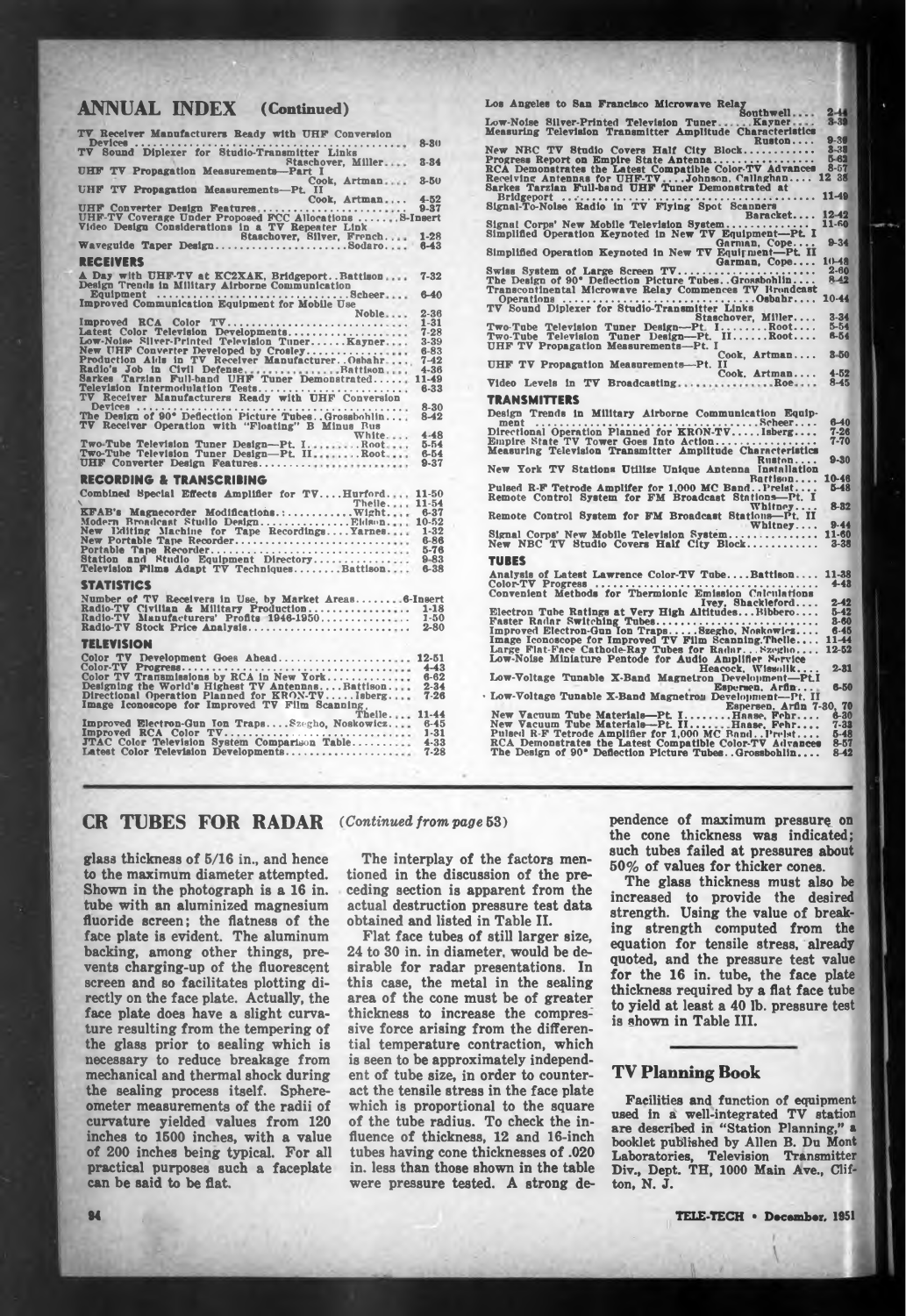# **ANNUAL INDEX** (Continued) **2** Los Angeles to San Francisco Microwave Relay Southwell.... 2

| TV Receiver Manufacturers Ready with UHF Conversion                                                    |                      | Measuring Television Trans:                                                                    |
|--------------------------------------------------------------------------------------------------------|----------------------|------------------------------------------------------------------------------------------------|
| Devices.<br>.<br>TV Sound Diplexer for Studio-Transmitter Links                                        | $8 - 80$             | New NRC TV Studio Cover                                                                        |
| Staschover, Miller<br>UHF TV Propagation Measurements-Part I                                           | $8 - 84$             | Progress Report on Empire !<br><b>RCA</b> Demonstrates the Later                               |
| Cook, Artman                                                                                           | $8 - 50$             | Receiving Antennas for UHI<br>Sarkes Tarzian Full-band U                                       |
| UHF TV Propagation Measurements-Pt. II<br>Cook, Artman                                                 | $4 - 52$             | Bridgeport                                                                                     |
|                                                                                                        |                      | Signal-To-Nolse Radio in T                                                                     |
| Staschover, Silver, French                                                                             | $1 - 28$             | Signal Corps' New Mobile T<br><b>Simplified Operation Keynot</b>                               |
| Waveguide Taper DesignSodaro                                                                           | $6 - 43$             | <b>Simplified Operation Keynot</b>                                                             |
| <b>NEGENIA K</b>                                                                                       |                      |                                                                                                |
| A Day with UHF-TV at KC2XAK, BridgeportBattison<br>Design Trends in Military Airborne Communication    | $7 - 32$<br>$6 - 40$ | Swiss System of Large Scr<br>The Design of 90° Deflection<br><b>Transcontinental Microwave</b> |
|                                                                                                        | $2 - 36$             | Operations<br>TV Sound Diplexer for Stud                                                       |
| Noble<br>Improved RCA Color TV                                                                         | $1 - 31$             |                                                                                                |
| Latest Color Television Developments                                                                   | $7 - 28$             | Two-Tube Television Tuner<br>Two-Tube Television Tuner                                         |
| Low-Noise Silver-Printed Television Tuner Kayner<br>New UHF Converter Developed by Crosley             | 3-39<br>$6 - 83$     | <b>UHF TV Propagation Measu</b>                                                                |
| Production Aids in TV Receiver Manufacturer. Oshahr                                                    | $7 - 42$             | <b>UHF TV Propagation Measu</b>                                                                |
|                                                                                                        |                      |                                                                                                |
| Television Intermodulation Tests                                                                       | $6 - 33$             | Video Levels in TV Broad                                                                       |
| TV Receiver Manufacturers Ready with UHF Conversion                                                    |                      | <b>TRANSMITTERS</b>                                                                            |
| $Device: \ldots$<br>The Design of 90° Deflection Picture Tubes. Grossbohlin                            | $8 - 30$<br>$8 - 42$ | Design Trends in Military                                                                      |
| TV Receiver Operation with "Floating" B Minus Rus                                                      |                      | $ment$                                                                                         |
| White                                                                                                  | $4 - 48$             | <b>Directional Operation Plann</b><br>Empire State TV Tower Go                                 |
| Two-Tube Television Tuner Design-Pt. IRoot<br>Two-Tube Television Tuner Design-Pt. IIRoot              | $5 - 54$<br>$6 - 54$ | Measuring Television Trans                                                                     |
| UHF Converter Design Features                                                                          | $9 - 37$             | New York TV Stations Uti                                                                       |
| RECORDING & TRANSGRIBING                                                                               |                      | Pulsed R-F Tetrode Amplife                                                                     |
| Combined Special Effects Amplifier for TVHurford 11-50<br>Theile 11-54                                 |                      | Remote Control System for                                                                      |
| KFAB's Magnecorder Modifications.: Wight                                                               | $6 - 37$             | Remote Control System for                                                                      |
| Modern Broadcast Studio Design Eidson 10-52                                                            | $1 - 32$             |                                                                                                |
| New Editing Machine for Tape RecordingsYarnes<br>New Portable Tape Recorder                            | $6 - 86$             | Signal Corps' New Mobile T<br>New NBC TV Studio Cove                                           |
|                                                                                                        | $5 - 76$             |                                                                                                |
| Station and Studio Equipment Directory<br>Television Films Adapt TV TechniquesBattison 6-38            | $9 - 83$             | TUBES                                                                                          |
|                                                                                                        |                      | <b>Analysis of Latest Lawrenc</b><br>Color-TV Progress                                         |
| STATISTICS                                                                                             |                      | Convenient Methods for Ti                                                                      |
| Number of TV Receivers in Use, by Market Areas 6-Insert                                                | $1 - 18$             |                                                                                                |
|                                                                                                        | $1 - 50$             | Electron Tube Ratings at V<br>Faster Radar Switching Tu                                        |
|                                                                                                        |                      | Improved Electron-Gun Ton                                                                      |
| TELEVISION                                                                                             |                      | Image Iconoscope for Impro                                                                     |
| Color TV Development Goes Abead 12-51                                                                  |                      | Large Flat-Face Cathode-Re<br>Low-Noise Miniature Pento                                        |
|                                                                                                        |                      |                                                                                                |
|                                                                                                        |                      | Low-Voltage Tunable X-Ba                                                                       |
| Directional Operation Planned for KRON-TVIsberg 7-26<br>Image Iconoscope for Improved TV Film Scanning |                      | · Low-Voltage Tunable X-Ban                                                                    |
| Theile 11-44                                                                                           |                      | <b>New Vacuum Tube Material</b>                                                                |
| Improved Electron-Gun Ion Traps Szegho, Noskowicz                                                      | $6 - 45$             | <b>New Vacuum Tube Material</b>                                                                |
| <b>JTAC Color Television System Comparison Table 4-33</b>                                              |                      | Pulsed R-F Tetrode Amplific                                                                    |
|                                                                                                        |                      | <b>RCA Demonstrates the Late</b><br>The Design of 90° Deflectio                                |
|                                                                                                        |                      |                                                                                                |

**Low-Noise Silver-Printed Television Tuner Kayner Measuring Television Transmitter Amplitude Characteristics Ruston.... New NBC TV Studio Covers Half City Block........................ 9-30 3 38 5-62** 12 38 **Progress Report on Empire State Antenna................................... RCA Demonstrates the Latest Compatible Color-TV Advances - - — Receiving Antennas for UHF-TV ...Johnson. Callaghan.... <sup>12</sup> <sup>38</sup> Sarkes Tarzian Full-band UHF Tuner Demonstrated at Bridgeport .. .•.............................................................................. Signal-To-Nolse Radio in TV Flying Spot Scanners** Signal-To-Noise Eadio in TV Flying Spot Scanners<br>Signal Corps' New Mobile Television System...............<br>Simplified Operation Keynoted in New TV Equipment---Pt. 1<br>Simplified Operation Keynoted in New TV Equipment---Pt. I **Swiss System of Large Screen TV................................................ The Design of 90\* Deflection Picture Tubes. .Grossbohlin.... Transcontinental Microwave Relay Commences TV Broadcast Operations ...............................................................Osbahr.... TV Sound Diplexer for Studio-Transmitter Links** TV Sound Diplexer for Studio-Transmitter Links<br>
Two-Tube Television Tuner Design—Pt. I.......Root....<br>
Two-Tube Television Tuner Design—Pt. II......Root....<br>
UHF TV Propagation Measurements—Pt. I<br>
UHF TV Propagation Measur  $Broadcasting...$ **11-4» 1242 11-R0 9-34**  $10 - 48$ <br>2.60 **2-80 8^2 10-44 3-34 5-54 tt-54 3 50 4-52 8-45 ilitary Airborne Communication Equip ment ............................................................ Scheer.... Directional Operation Planned for KRON-TV.........Isberg.... Empire State TV Tower Goes Into Action................................... Measuring Television Transmitter Amplitude Characteristics Ruston.... New York TV Stations Utilize Unique Antenna Installation Bartisou.... Pulsed R-F Tetrode Amplifer for 1,000 MC Band. .Prelst.... Remote Control System for FM Broadcast Stations—Pt. I** Whitney...<br>Whitney...<br><u>**Cana**</u>Pt. II **Remote Control System for FM Broadcast Stations—Pt. II . Whitney....** Signal Corps' New Mobile Television System..............<br>New NBC TV Studio Covers Half City Block........... **Analysis of Latest Lawrence Color-TV Tube... .Battison.... Color-TV Progress .............................................................................. Convenient Methods for Thermionic Emission Calculations Ivey, Shackleford.... Electron Tube Ratings at Very High Altitudes. • .Blbbero.... Faster Radar Switching Tubes........................................................ Improved Electron-Gun Ion Traps.........Szegho, Noskowicz.... Image Iconoscope for Improved TV Film Scanning.Thelle.... Large Flat-Face Cathode-Ray Tubes for Radar... Szogbo.... Low-Noise Miniature Pentode for Audio Amplifier Service 6-40 7-28 7-70 9-30 10-48 5-48 8-32 9-44 11-80 3-38 11-38 4-43 2-42 5-42 3-80 6-45 11-44 12-52 Heacock, Wlssolik.... 2-31 Low-Voltage Tunable X-Band Magnetron Development—PtI Espcrsen. Arfln... • Ix>w-Voltage Tunable X-Band Magnetro'i Development—Pt. II Espersen, Arfln 7-30, 70 New Vacuum Tube Materials—Pt. I...............Haase. Fehr.... 6-30 New Vacuum Tube Materials—Pt. II.... Haase, Fehr.... 7-33 Pulsed R-F Tetrode Amplifier for 1,000 MC Band..Prelst.... 5-48 RCA Demonstrates the Latest Compatible Color-TV Advances 8-57 The Design of 90\* Deflection Picture Tubes. .Grossbohlin.... 8-42 6-50**

# **CR TOBES FOR RADAR** *(Continued from page* **53)**

**glass thickness of 5/16 in., and hence to the maximum diameter attempted. Shown in the photograph is a 16 in. tube with an aluminized magnesium fluoride screen; the flatness of the face plate is evident. The aluminum backing, among other things, prevents charging-up of the fluorescent screen and so facilitates plotting directly on the face plate. Actually, the face plate does have a slight curvature resulting from the tempering of the glass prior to sealing which is necessary to reduce breakage from mechanical and thermal shock during the sealing process itself. Sphereometer measurements of the radii of curvature yielded values from 120 inches to 1500 inches, with a value of 200 inches being typical. For all practical purposes such a faceplate can be said to be flat**

**The interplay of the factors mentioned in the discussion of the preceding section is apparent from the actual destruction pressure test data obtained and listed in Table II.**

**Flat face tubes of still larger size, 24 to 30 in. in diameter, would be desirable for radar presentations. In this case, the metal in the sealing area of the cone must be of greater thickness to increase the compressive force arising from the differential temperature contraction, which is seen to be approximately independent of tube size, in order to counteract the tensile stress in the face plate which is proportional to the square of the tube radius. To check the influence of thickness, 12 and 16-inch tubes having cone thicknesses of .020 in. less than those shown in the table were pressure tested. A strong de-** **pendence of maximum pressure on the cone thickness was indicated; such tubes failed at pressures about 50% of values for thicker cones.**

**The glass thickness must also be increased to provide the desired strength. Using the value of breaking strength computed from the equation for tensile stress, already quoted, and the pressure test value for the 16 in. tube, the face plate thickness required by a flat face tube to yield at least a 40 lb. pressure test is shown in Table III.**

### **TV Planning Book**

**Facilities and function of equipment used in a well-integrated TV station are described in "Station Planning," a booklet published by Allen B. Du Mont Laboratories, Television Transmitter Div., Dept. TH, 1000 Main Ave., Clifton, N. J.**

**94 TELE-TECH \* December, 1951**